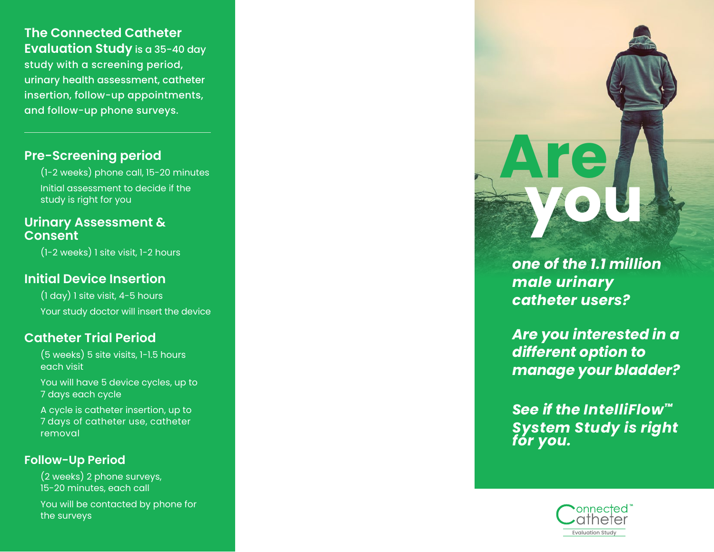*one of the 1.1 million male urinary catheter users?*

**Are** 

 **you**

*Are you interested in a different option to manage your bladder?*

*See if the IntelliFlow™ System Study is right for you.*

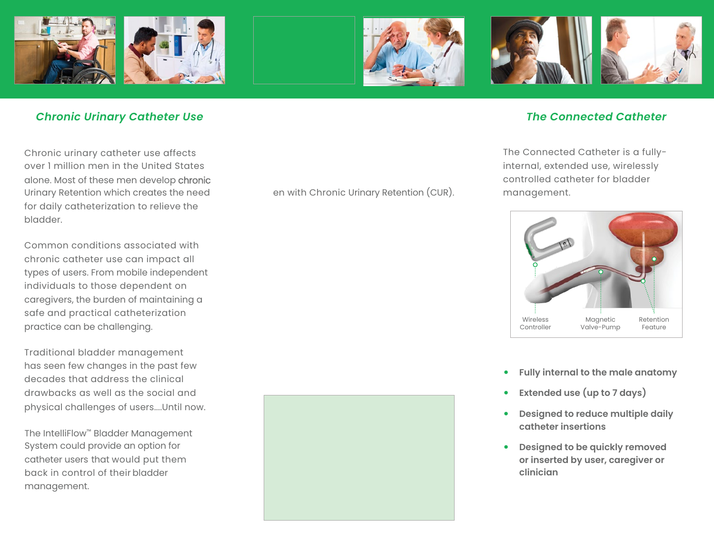

### *Chronic Urinary Catheter Use*

Chronic urinary catheter use affects over 1 million men in the United States alone. Most of these men develop chronic Urinary Retention which creates the need for daily catheterization to relieve the bladder.

Common conditions associated with chronic catheter use can impact all types of users. From mobile independent individuals to those dependent on caregivers, the burden of maintaining a safe and practical catheterization practice can be challenging.

Traditional bladder management has seen few changes in the past few decades that address the clinical drawbacks as well as the social and physical challenges of users....Until now.

The IntelliFlow™ Bladder Management System could provide an option for catheter users that would put them back in control of their bladder management.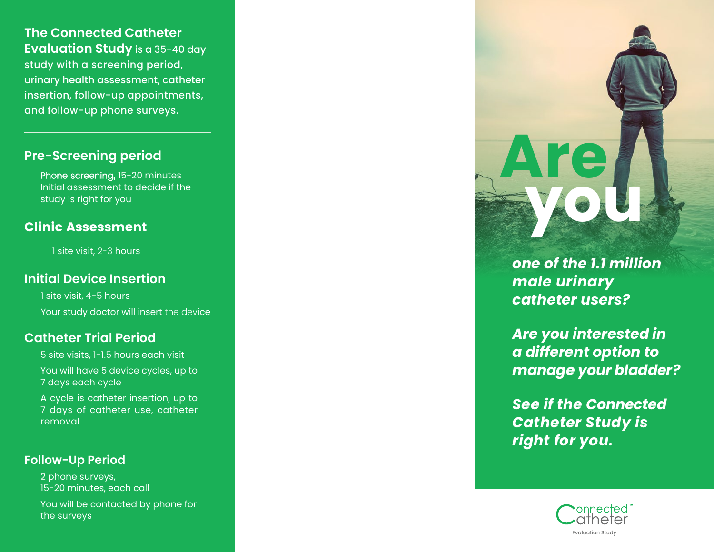## **The Connected Catheter Evaluation Study** is a 35-40 day study with a screening period, urinary health assessment, catheter insertion, follow-up appointments, and follow-up phone surveys.

### **Pre-Screening period**

Phone screening**,** 15-20 minutes Initial assessment to decide if the study is right for you

# **Clinic Assessment**

1 site visit, 2-3 hours

### **Initial Device Insertion**

 1 site visit, 4-5 hours Your study doctor will insert the device

### **Catheter Trial Period**

5 site visits, 1-1.5 hours each visit You will have 5 device cycles, up to 7 days each cycle

A cycle is catheter insertion, up to 7 days of catheter use, catheter removal

### **Follow-Up Period**

2 phone surveys, 15-20 minutes, each call You will be contacted by phone for the surveys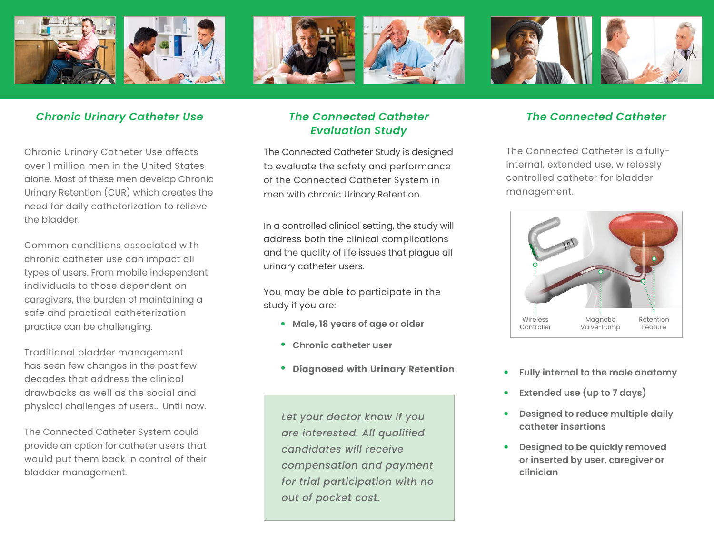

### *Chronic Urinary Catheter Use The Connected Catheter The Connected Catheter Evaluation Study*

The Connected Catheter Study is designed to evaluate the safety and performance of the Connected Catheter System in men with chronic Urinary Retention.

In a controlled clinical setting, the study will address both the clinical complications and the quality of life issues that plague all urinary catheter users.

You may be able to participate in the study if you are:

- **• Male, 18 years of age or older**
- **• Chronic catheter user**
- **• Diagnosed with Urinary Retention**

*Let your doctor know if you are interested. All qualified candidates will receive compensation and payment for trial participation with no out of pocket cost.*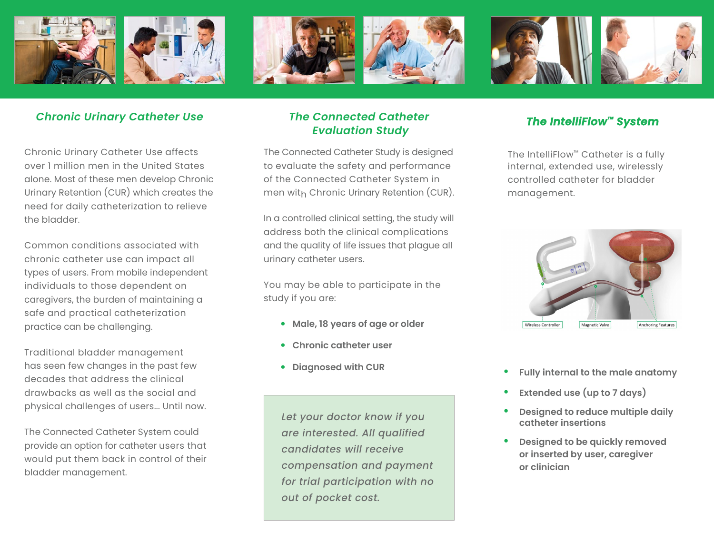

### *The IntelliFlow™ System*

The IntelliFlow™ Catheter is a fully internal, extended use, wirelessly controlled catheter for bladder management.



- **• Fully internal to the male anatomy**
- **• Extended use (up to 7 days)**
- **• Designed to reduce multiple daily catheter insertions**
- **• Designed to be quickly removed or inserted by user, caregiver or clinician**